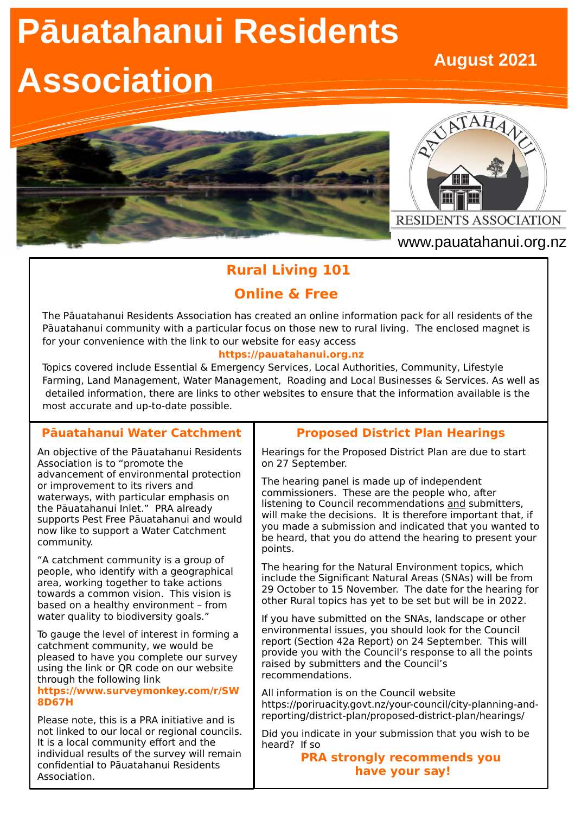# **Pāuatahanui Residents**

# **Association**





www.pauatahanui.org.nz

# **Rural Living 101**

# **Online & Free**

The Pāuatahanui Residents Association has created an online information pack for all residents of the Pāuatahanui community with a particular focus on those new to rural living. The enclosed magnet is for your convenience with the link to our website for easy access

### **https://pauatahanui.org.nz**

Topics covered include Essential & Emergency Services, Local Authorities, Community, Lifestyle Farming, Land Management, Water Management, Roading and Local Businesses & Services. As well as detailed information, there are links to other websites to ensure that the information available is the most accurate and up-to-date possible.

## **Pāuatahanui Water Catchment**

An objective of the Pāuatahanui Residents Association is to "promote the advancement of environmental protection or improvement to its rivers and waterways, with particular emphasis on the Pāuatahanui Inlet." PRA already supports Pest Free Pāuatahanui and would now like to support a Water Catchment community.

"A catchment community is a group of people, who identify with a geographical area, working together to take actions towards a common vision. This vision is based on a healthy environment – from water quality to biodiversity goals."

To gauge the level of interest in forming a catchment community, we would be pleased to have you complete our survey using the link or QR code on our website through the following link

### **[https://www.surveymonkey.com/r/SW](https://www.surveymonkey.com/r/SW8D67H) [8D67H](https://www.surveymonkey.com/r/SW8D67H)**

Please note, this is a PRA initiative and is not linked to our local or regional councils. It is a local community effort and the individual results of the survey will remain confidential to Pāuatahanui Residents Association.

## **Proposed District Plan Hearings**

Hearings for the Proposed District Plan are due to start on 27 September.

The hearing panel is made up of independent commissioners. These are the people who, after listening to Council recommendations and submitters, will make the decisions. It is therefore important that, if you made a submission and indicated that you wanted to be heard, that you do attend the hearing to present your points.

The hearing for the Natural Environment topics, which include the Significant Natural Areas (SNAs) will be from 29 October to 15 November. The date for the hearing for other Rural topics has yet to be set but will be in 2022.

If you have submitted on the SNAs, landscape or other environmental issues, you should look for the Council report (Section 42a Report) on 24 September. This will provide you with the Council's response to all the points raised by submitters and the Council's recommendations.

All information is on the Council website https://poriruacity.govt.nz/your-council/city-planning-andreporting/district-plan/proposed-district-plan/hearings/

Did you indicate in your submission that you wish to be heard? If so

**PRA strongly recommends you have your say!**

# **August 2021**